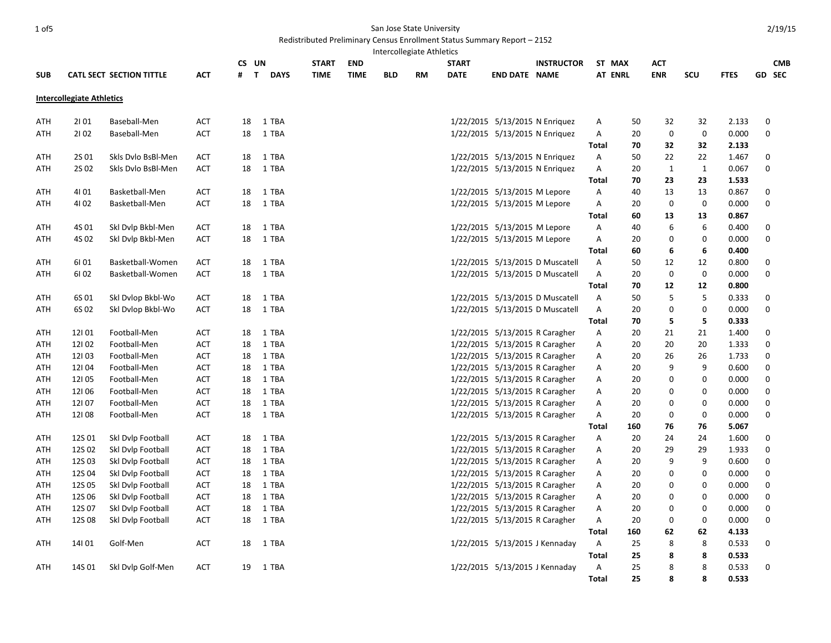## 1 of5 San Jose State University

## Redistributed Preliminary Census Enrollment Status Summary Report – 2152 Intercollegiate Athletics

|     |                                  |                                 |            |    | CS UN                       | <b>START</b> | <b>END</b>  |            |           | <b>START</b> |                                | <b>INSTRUCTOR</b>               |              | ST MAX         | АСТ          |                  |                | <b>CMB</b>       |
|-----|----------------------------------|---------------------------------|------------|----|-----------------------------|--------------|-------------|------------|-----------|--------------|--------------------------------|---------------------------------|--------------|----------------|--------------|------------------|----------------|------------------|
| SUB |                                  | <b>CATL SECT SECTION TITTLE</b> | <b>ACT</b> | #  | $\mathsf{T}$<br><b>DAYS</b> | <b>TIME</b>  | <b>TIME</b> | <b>BLD</b> | <b>RM</b> | <b>DATE</b>  | <b>END DATE NAME</b>           |                                 |              | <b>AT ENRL</b> | <b>ENR</b>   | <b>SCU</b>       | <b>FTES</b>    | GD SEC           |
|     | <b>Intercollegiate Athletics</b> |                                 |            |    |                             |              |             |            |           |              |                                |                                 |              |                |              |                  |                |                  |
| ATH | 2101                             | Baseball-Men                    | <b>ACT</b> | 18 | 1 TBA                       |              |             |            |           |              | 1/22/2015 5/13/2015 N Enriquez |                                 | A            | 50             | 32           | 32               | 2.133          | $\mathbf 0$      |
| ATH | 2102                             | Baseball-Men                    | <b>ACT</b> | 18 | 1 TBA                       |              |             |            |           |              | 1/22/2015 5/13/2015 N Enriquez |                                 | Α            | 20             | $\mathbf 0$  | $\boldsymbol{0}$ | 0.000          | $\mathbf 0$      |
|     |                                  |                                 |            |    |                             |              |             |            |           |              |                                |                                 | Total        | 70             | 32           | 32               | 2.133          |                  |
| ATH | 2S 01                            | Skls Dvlo BsBI-Men              | <b>ACT</b> | 18 | 1 TBA                       |              |             |            |           |              | 1/22/2015 5/13/2015 N Enriquez |                                 | Α            | 50             | 22           | 22               | 1.467          | 0                |
| ATH | 2S 02                            | Skls Dvlo BsBl-Men              | <b>ACT</b> | 18 | 1 TBA                       |              |             |            |           |              | 1/22/2015 5/13/2015 N Enriquez |                                 | Α            | 20             | $\mathbf{1}$ | $\mathbf{1}$     | 0.067          | $\mathbf 0$      |
|     |                                  |                                 |            |    |                             |              |             |            |           |              |                                |                                 | Total        | 70             | 23           | 23               | 1.533          |                  |
| ATH | 4101                             | Basketball-Men                  | ACT        | 18 | 1 TBA                       |              |             |            |           |              | 1/22/2015 5/13/2015 M Lepore   |                                 | A            | 40             | 13           | 13               | 0.867          | 0                |
| ATH | 4102                             | Basketball-Men                  | ACT        | 18 | 1 TBA                       |              |             |            |           |              | 1/22/2015 5/13/2015 M Lepore   |                                 | Α            | 20             | 0            | 0                | 0.000          | 0                |
|     |                                  |                                 |            |    |                             |              |             |            |           |              |                                |                                 | Total        | 60             | 13           | 13               | 0.867          |                  |
| ATH | 4S 01                            | Skl Dvlp Bkbl-Men               | <b>ACT</b> | 18 | 1 TBA                       |              |             |            |           |              | 1/22/2015 5/13/2015 M Lepore   |                                 | A            | 40             | 6            | 6                | 0.400          | 0                |
| ATH | 4S 02                            | Ski Dvip Bkbl-Men               | ACT        | 18 | 1 TBA                       |              |             |            |           |              | 1/22/2015 5/13/2015 M Lepore   |                                 | A            | 20             | 0            | 0                | 0.000          | 0                |
|     |                                  |                                 |            |    |                             |              |             |            |           |              |                                |                                 | Total        | 60             | 6            | 6                | 0.400          |                  |
| ATH | 61 01                            | Basketball-Women                | ACT        | 18 | 1 TBA                       |              |             |            |           |              |                                | 1/22/2015 5/13/2015 D Muscatell | A            | 50             | 12           | 12               | 0.800          | 0                |
| ATH | 61 02                            | Basketball-Women                | ACT        | 18 | 1 TBA                       |              |             |            |           |              |                                | 1/22/2015 5/13/2015 D Muscatell | A            | 20             | $\mathbf 0$  | $\boldsymbol{0}$ | 0.000          | $\mathbf 0$      |
|     |                                  |                                 |            |    |                             |              |             |            |           |              |                                |                                 | Total        | 70             | 12           | 12               | 0.800          |                  |
| ATH | 6S 01                            | Skl Dvlop Bkbl-Wo               | ACT        | 18 | 1 TBA                       |              |             |            |           |              |                                | 1/22/2015 5/13/2015 D Muscatell | Α            | 50             | 5            | 5                | 0.333          | 0                |
| ATH | 6S 02                            | Ski Dvlop Bkbl-Wo               | ACT        | 18 | 1 TBA                       |              |             |            |           |              |                                | 1/22/2015 5/13/2015 D Muscatell | $\mathsf{A}$ | 20             | 0            | 0                | 0.000          | $\mathbf 0$      |
|     |                                  |                                 |            |    |                             |              |             |            |           |              |                                |                                 | <b>Total</b> | 70             | 5            | 5                | 0.333          |                  |
| ATH | 12101                            | Football-Men                    | ACT        | 18 | 1 TBA                       |              |             |            |           |              | 1/22/2015 5/13/2015 R Caragher |                                 | Α            | 20             | 21           | 21               | 1.400          | 0                |
| ATH | 12102                            | Football-Men                    | ACT        | 18 | 1 TBA                       |              |             |            |           |              | 1/22/2015 5/13/2015 R Caragher |                                 | Α            | 20             | 20           | 20               | 1.333          | 0                |
| ATH | 12103                            | Football-Men                    | ACT        | 18 | 1 TBA                       |              |             |            |           |              | 1/22/2015 5/13/2015 R Caragher |                                 | A            | 20             | 26           | 26               | 1.733          | 0                |
| ATH | 12104                            | Football-Men                    | ACT        | 18 | 1 TBA                       |              |             |            |           |              | 1/22/2015 5/13/2015 R Caragher |                                 | A            | 20             | 9            | 9                | 0.600          | 0                |
| ATH | 12105                            | Football-Men                    | <b>ACT</b> | 18 | 1 TBA                       |              |             |            |           |              | 1/22/2015 5/13/2015 R Caragher |                                 | Α            | 20             | 0            | 0                | 0.000          | $\mathbf 0$      |
| ATH | 12106                            | Football-Men                    | ACT        | 18 | 1 TBA                       |              |             |            |           |              | 1/22/2015 5/13/2015 R Caragher |                                 | A            | 20             | 0            | 0                | 0.000          | $\mathbf 0$      |
| ATH | 12107                            | Football-Men                    | <b>ACT</b> | 18 | 1 TBA                       |              |             |            |           |              | 1/22/2015 5/13/2015 R Caragher |                                 | A            | 20             | 0<br>0       | 0                | 0.000          | 0<br>$\mathbf 0$ |
| ATH | 12108                            | Football-Men                    | <b>ACT</b> | 18 | 1 TBA                       |              |             |            |           |              | 1/22/2015 5/13/2015 R Caragher |                                 | A<br>Total   | 20<br>160      | 76           | 0<br>76          | 0.000<br>5.067 |                  |
| ATH | 12S 01                           | Skl Dvlp Football               | <b>ACT</b> | 18 | 1 TBA                       |              |             |            |           |              | 1/22/2015 5/13/2015 R Caragher |                                 | Α            | 20             | 24           | 24               | 1.600          | $\mathbf 0$      |
| ATH | 12S 02                           | Skl Dvlp Football               | <b>ACT</b> | 18 | 1 TBA                       |              |             |            |           |              | 1/22/2015 5/13/2015 R Caragher |                                 | A            | 20             | 29           | 29               | 1.933          | $\mathbf 0$      |
| ATH | 12S03                            | Skl Dvlp Football               | ACT        | 18 | 1 TBA                       |              |             |            |           |              | 1/22/2015 5/13/2015 R Caragher |                                 | Α            | 20             | 9            | 9                | 0.600          | $\mathbf 0$      |
| ATH | 12S 04                           | Skl Dvlp Football               | ACT        | 18 | 1 TBA                       |              |             |            |           |              | 1/22/2015 5/13/2015 R Caragher |                                 | Α            | 20             | 0            | 0                | 0.000          | 0                |
| ATH | 12S 05                           | Skl Dvlp Football               | ACT        | 18 | 1 TBA                       |              |             |            |           |              | 1/22/2015 5/13/2015 R Caragher |                                 | Α            | 20             | 0            | 0                | 0.000          | $\mathbf 0$      |
| ATH | 12S 06                           | Skl Dvlp Football               | ACT        | 18 | 1 TBA                       |              |             |            |           |              | 1/22/2015 5/13/2015 R Caragher |                                 | Α            | 20             | 0            | 0                | 0.000          | 0                |
| ATH | 12S 07                           | Skl Dvlp Football               | ACT        | 18 | 1 TBA                       |              |             |            |           |              | 1/22/2015 5/13/2015 R Caragher |                                 | Α            | 20             | 0            | 0                | 0.000          | 0                |
| ATH | 12S 08                           | Skl Dvlp Football               | ACT        | 18 | 1 TBA                       |              |             |            |           |              | 1/22/2015 5/13/2015 R Caragher |                                 | A            | 20             | 0            | $\mathbf 0$      | 0.000          | $\Omega$         |
|     |                                  |                                 |            |    |                             |              |             |            |           |              |                                |                                 | Total        | 160            | 62           | 62               | 4.133          |                  |
| ATH | 14101                            | Golf-Men                        | <b>ACT</b> | 18 | 1 TBA                       |              |             |            |           |              |                                | 1/22/2015 5/13/2015 J Kennaday  | A            | 25             | 8            | 8                | 0.533          | 0                |
|     |                                  |                                 |            |    |                             |              |             |            |           |              |                                |                                 | Total        | 25             | 8            | 8                | 0.533          |                  |
| ATH | 14S 01                           | Skl Dvlp Golf-Men               | <b>ACT</b> | 19 | 1 TBA                       |              |             |            |           |              | 1/22/2015 5/13/2015 J Kennaday |                                 | A            | 25             | 8            | 8                | 0.533          | 0                |
|     |                                  |                                 |            |    |                             |              |             |            |           |              |                                |                                 | <b>Total</b> | 25             | 8            | 8                | 0.533          |                  |
|     |                                  |                                 |            |    |                             |              |             |            |           |              |                                |                                 |              |                |              |                  |                |                  |

2/19/15

**CMB**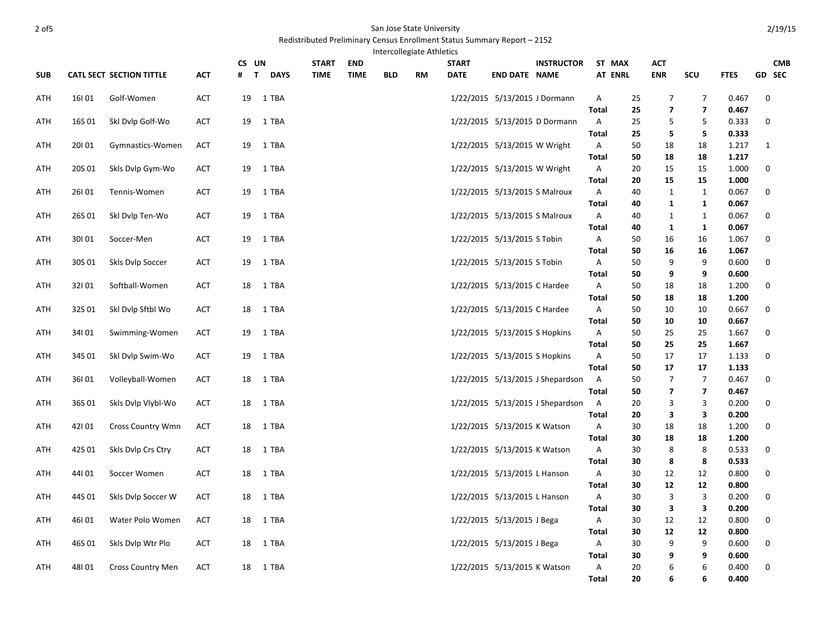## 2 of5 San Jose State University

## Redistributed Preliminary Census Enrollment Status Summary Report – 2152

Intercollegiate Athletics

| <b>SUB</b> |        | <b>CATL SECT SECTION TITTLE</b> | <b>ACT</b> | CS UN<br>$\mathbf{T}$ | <b>DAYS</b> | <b>START</b><br><b>TIME</b> | <b>END</b><br><b>TIME</b> | <b>BLD</b> | $-$ n $-$<br>RM | <b>START</b><br><b>DATE</b> | <b>END DATE NAME</b>          | <b>INSTRUCTOR</b>                |                              | ST MAX<br><b>AT ENRL</b> | ACT<br><b>ENR</b>            | SCU                      | <b>FTES</b>    |              | <b>CMB</b><br><b>GD SEC</b> |
|------------|--------|---------------------------------|------------|-----------------------|-------------|-----------------------------|---------------------------|------------|-----------------|-----------------------------|-------------------------------|----------------------------------|------------------------------|--------------------------|------------------------------|--------------------------|----------------|--------------|-----------------------------|
| ATH        | 16101  | Golf-Women                      | ACT        | 19                    | 1 TBA       |                             |                           |            |                 |                             | 1/22/2015 5/13/2015 J Dormann |                                  | Α                            | 25                       | 7                            | 7                        | 0.467          | $\mathbf 0$  |                             |
|            |        |                                 |            |                       |             |                             |                           |            |                 |                             |                               |                                  | <b>Total</b>                 | 25                       | $\overline{\mathbf{z}}$      | $\overline{\phantom{a}}$ | 0.467          |              |                             |
| ATH        | 16S 01 | Skl Dvlp Golf-Wo                | ACT        | 19                    | 1 TBA       |                             |                           |            |                 |                             |                               | 1/22/2015 5/13/2015 D Dormann    | $\mathsf{A}$<br>Total        | 25<br>25                 | 5<br>5                       | 5<br>5                   | 0.333<br>0.333 | 0            |                             |
| ATH        | 20101  | Gymnastics-Women                | ACT        | 19                    | 1 TBA       |                             |                           |            |                 |                             | 1/22/2015 5/13/2015 W Wright  |                                  | A                            | 50                       | 18                           | 18                       | 1.217          | $\mathbf{1}$ |                             |
|            |        |                                 |            |                       |             |                             |                           |            |                 |                             |                               |                                  | <b>Total</b>                 | 50                       | 18                           | 18                       | 1.217          |              |                             |
| ATH        | 20S 01 | Skls Dvlp Gym-Wo                | <b>ACT</b> | 19                    | 1 TBA       |                             |                           |            |                 |                             | 1/22/2015 5/13/2015 W Wright  |                                  | A                            | 20                       | 15                           | 15                       | 1.000          | 0            |                             |
|            |        |                                 |            |                       |             |                             |                           |            |                 |                             |                               |                                  | <b>Total</b>                 | 20                       | 15                           | 15                       | 1.000          |              |                             |
| ATH        | 26101  | Tennis-Women                    | <b>ACT</b> | 19                    | 1 TBA       |                             |                           |            |                 |                             | 1/22/2015 5/13/2015 S Malroux |                                  | A                            | 40                       | $\mathbf{1}$                 | $\mathbf{1}$             | 0.067          | $\mathbf 0$  |                             |
|            |        |                                 |            |                       |             |                             |                           |            |                 |                             |                               |                                  | Total                        | 40                       | 1                            | 1                        | 0.067          |              |                             |
| ATH        | 26S 01 | Skl Dvlp Ten-Wo                 | ACT        | 19                    | 1 TBA       |                             |                           |            |                 |                             | 1/22/2015 5/13/2015 S Malroux |                                  | $\mathsf{A}$                 | 40                       | $\mathbf{1}$                 | $\mathbf{1}$             | 0.067          | $\mathbf 0$  |                             |
|            |        |                                 |            |                       |             |                             |                           |            |                 |                             |                               |                                  | Total                        | 40                       | 1                            | $\mathbf{1}$             | 0.067          |              |                             |
| ATH        | 30101  | Soccer-Men                      | <b>ACT</b> | 19                    | 1 TBA       |                             |                           |            |                 |                             | 1/22/2015 5/13/2015 S Tobin   |                                  | Α                            | 50                       | 16                           | 16                       | 1.067          | 0            |                             |
| ATH        | 30S 01 | Skls Dvlp Soccer                | ACT        | 19                    | 1 TBA       |                             |                           |            |                 |                             | 1/22/2015 5/13/2015 S Tobin   |                                  | <b>Total</b><br>$\mathsf{A}$ | 50<br>50                 | 16<br>9                      | 16<br>9                  | 1.067<br>0.600 | 0            |                             |
|            |        |                                 |            |                       |             |                             |                           |            |                 |                             |                               |                                  | Total                        | 50                       | 9                            | 9                        | 0.600          |              |                             |
| ATH        | 32101  | Softball-Women                  | ACT        | 18                    | 1 TBA       |                             |                           |            |                 |                             | 1/22/2015 5/13/2015 C Hardee  |                                  | Α                            | 50                       | 18                           | 18                       | 1.200          | 0            |                             |
|            |        |                                 |            |                       |             |                             |                           |            |                 |                             |                               |                                  | <b>Total</b>                 | 50                       | 18                           | 18                       | 1.200          |              |                             |
| ATH        | 32S01  | Ski Dvip Sftbi Wo               | ACT        | 18                    | 1 TBA       |                             |                           |            |                 |                             | 1/22/2015 5/13/2015 C Hardee  |                                  | Α                            | 50                       | 10                           | 10                       | 0.667          | 0            |                             |
|            |        |                                 |            |                       |             |                             |                           |            |                 |                             |                               |                                  | <b>Total</b>                 | 50                       | 10                           | 10                       | 0.667          |              |                             |
| ATH        | 34101  | Swimming-Women                  | ACT        | 19                    | 1 TBA       |                             |                           |            |                 |                             | 1/22/2015 5/13/2015 S Hopkins |                                  | A                            | 50                       | 25                           | 25                       | 1.667          | 0            |                             |
|            |        |                                 |            |                       |             |                             |                           |            |                 |                             |                               |                                  | <b>Total</b>                 | 50                       | 25                           | 25                       | 1.667          |              |                             |
| ATH        | 34S01  | Skl Dvlp Swim-Wo                | ACT        | 19                    | 1 TBA       |                             |                           |            |                 |                             | 1/22/2015 5/13/2015 S Hopkins |                                  | Α                            | 50                       | 17                           | 17                       | 1.133          | $\mathbf 0$  |                             |
|            |        |                                 |            |                       |             |                             |                           |            |                 |                             |                               |                                  | <b>Total</b>                 | 50                       | 17                           | 17                       | 1.133          |              |                             |
| ATH        | 36101  | Volleyball-Women                | ACT        | 18                    | 1 TBA       |                             |                           |            |                 |                             |                               | 1/22/2015 5/13/2015 J Shepardson | A                            | 50                       | $\overline{7}$               | $\overline{7}$           | 0.467          | 0            |                             |
| ATH        | 36S01  | Skls Dvlp Vlybl-Wo              | <b>ACT</b> | 18                    | 1 TBA       |                             |                           |            |                 |                             |                               | 1/22/2015 5/13/2015 J Shepardson | <b>Total</b><br>A            | 50<br>20                 | $\overline{\mathbf{z}}$<br>3 | 7<br>3                   | 0.467<br>0.200 | 0            |                             |
|            |        |                                 |            |                       |             |                             |                           |            |                 |                             |                               |                                  | <b>Total</b>                 | 20                       | 3                            | 3                        | 0.200          |              |                             |
| ATH        | 42101  | <b>Cross Country Wmn</b>        | ACT        | 18                    | 1 TBA       |                             |                           |            |                 |                             | 1/22/2015 5/13/2015 K Watson  |                                  | A                            | 30                       | 18                           | 18                       | 1.200          | 0            |                             |
|            |        |                                 |            |                       |             |                             |                           |            |                 |                             |                               |                                  | <b>Total</b>                 | 30                       | 18                           | 18                       | 1.200          |              |                             |
| ATH        | 42S 01 | Skls Dylp Crs Ctry              | ACT        | 18                    | 1 TBA       |                             |                           |            |                 |                             | 1/22/2015 5/13/2015 K Watson  |                                  | Α                            | 30                       | 8                            | 8                        | 0.533          | 0            |                             |
|            |        |                                 |            |                       |             |                             |                           |            |                 |                             |                               |                                  | <b>Total</b>                 | 30                       | 8                            | 8                        | 0.533          |              |                             |
| ATH        | 44101  | Soccer Women                    | <b>ACT</b> | 18                    | 1 TBA       |                             |                           |            |                 |                             | 1/22/2015 5/13/2015 L Hanson  |                                  | A                            | 30                       | 12                           | 12                       | 0.800          | 0            |                             |
|            |        |                                 |            |                       |             |                             |                           |            |                 |                             |                               |                                  | Total                        | 30                       | 12                           | 12                       | 0.800          |              |                             |
| ATH        | 44S 01 | Skls Dvlp Soccer W              | ACT        | 18                    | 1 TBA       |                             |                           |            |                 |                             | 1/22/2015 5/13/2015 L Hanson  |                                  | Α                            | 30                       | 3                            | 3                        | 0.200          | $\mathbf 0$  |                             |
|            |        |                                 |            |                       |             |                             |                           |            |                 |                             |                               |                                  | <b>Total</b>                 | 30                       | 3                            | 3                        | 0.200          |              |                             |
| ATH        | 46101  | Water Polo Women                | <b>ACT</b> | 18                    | 1 TBA       |                             |                           |            |                 |                             | 1/22/2015 5/13/2015 J Bega    |                                  | Α                            | 30                       | 12                           | 12                       | 0.800          | $\mathbf 0$  |                             |
| ATH        | 46S 01 | Skls Dvlp Wtr Plo               | ACT        | 18                    | 1 TBA       |                             |                           |            |                 |                             | 1/22/2015 5/13/2015 J Bega    |                                  | Total<br>A                   | 30<br>30                 | 12<br>9                      | 12<br>9                  | 0.800<br>0.600 | 0            |                             |
|            |        |                                 |            |                       |             |                             |                           |            |                 |                             |                               |                                  | <b>Total</b>                 | 30                       | 9                            | 9                        | 0.600          |              |                             |
| ATH        | 48101  | <b>Cross Country Men</b>        | <b>ACT</b> | 18                    | 1 TBA       |                             |                           |            |                 |                             | 1/22/2015 5/13/2015 K Watson  |                                  | Α                            | 20                       | 6                            | 6                        | 0.400          | 0            |                             |
|            |        |                                 |            |                       |             |                             |                           |            |                 |                             |                               |                                  | <b>Total</b>                 | 20                       | 6                            | 6                        | 0.400          |              |                             |

2/19/15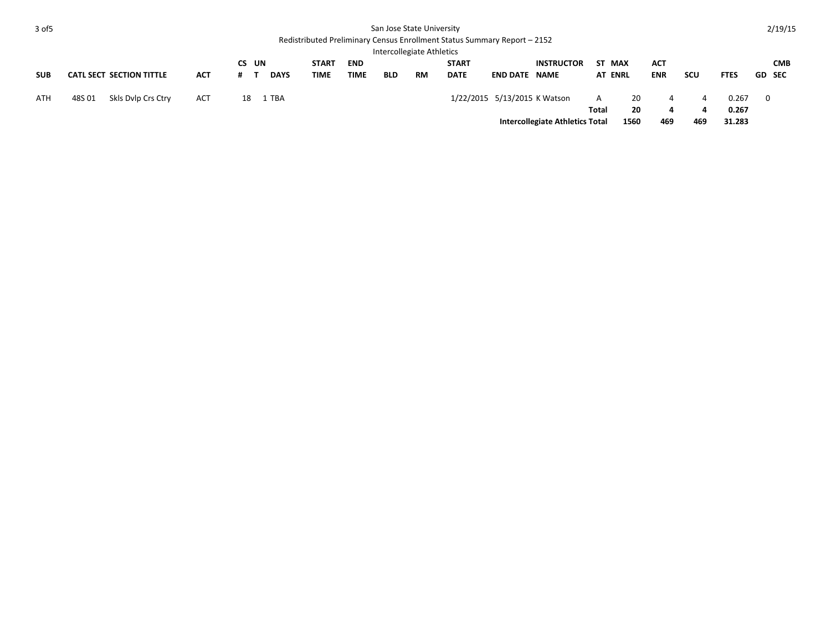| 3 of 5     | San Jose State University<br>Redistributed Preliminary Census Enrollment Status Summary Report - 2152 |                                 |            |           |    |             |              |             |            |           |              |                              |                                        |            |                | 2/19/15    |     |                |   |               |
|------------|-------------------------------------------------------------------------------------------------------|---------------------------------|------------|-----------|----|-------------|--------------|-------------|------------|-----------|--------------|------------------------------|----------------------------------------|------------|----------------|------------|-----|----------------|---|---------------|
|            | Intercollegiate Athletics                                                                             |                                 |            |           |    |             |              |             |            |           |              |                              |                                        |            |                |            |     |                |   |               |
|            |                                                                                                       |                                 |            | <b>CS</b> | UN |             | <b>START</b> | <b>END</b>  |            |           | <b>START</b> |                              | <b>INSTRUCTOR</b>                      |            | ST MAX         | ACT        |     |                |   | <b>CMB</b>    |
| <b>SUB</b> |                                                                                                       | <b>CATL SECT SECTION TITTLE</b> | <b>ACT</b> | #         |    | <b>DAYS</b> | TIME         | <b>TIME</b> | <b>BLD</b> | <b>RM</b> | <b>DATE</b>  | <b>END DATE NAME</b>         |                                        |            | <b>AT ENRL</b> | <b>ENR</b> | scu | <b>FTES</b>    |   | <b>GD SEC</b> |
| ATH        | 48S01                                                                                                 | Skls Dylp Crs Ctry              | <b>ACT</b> | 18        |    | 1 TBA       |              |             |            |           |              | 1/22/2015 5/13/2015 K Watson |                                        | A<br>Total | 20<br>20       | 4<br>4     | 4   | 0.267<br>0.267 | 0 |               |
|            |                                                                                                       |                                 |            |           |    |             |              |             |            |           |              |                              | <b>Intercollegiate Athletics Total</b> |            | 1560           | 469        | 469 | 31.283         |   |               |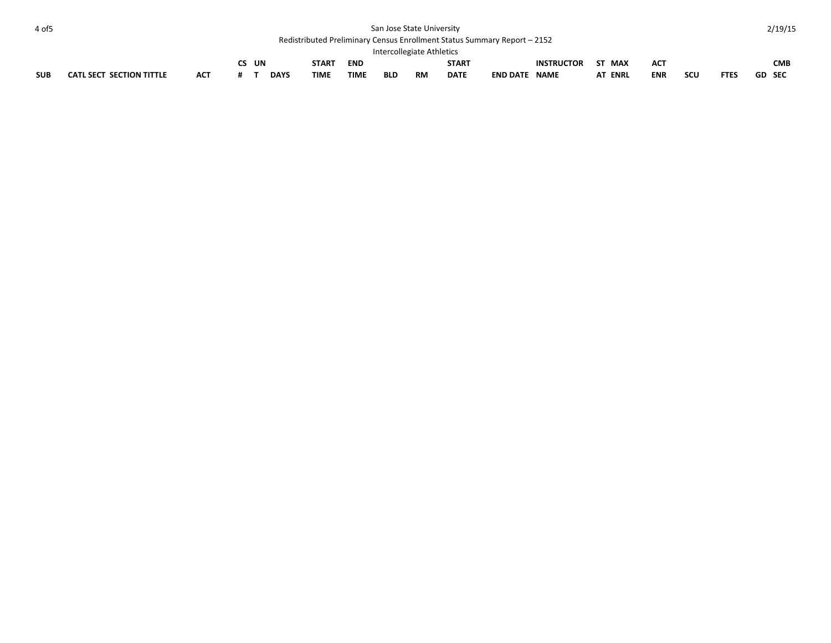| 4 of 5     | San Jose State University                                                |     |  |       |             |              |             |            |    |              |                      |                   |                |            |     |             | 2/19/15       |            |
|------------|--------------------------------------------------------------------------|-----|--|-------|-------------|--------------|-------------|------------|----|--------------|----------------------|-------------------|----------------|------------|-----|-------------|---------------|------------|
|            | Redistributed Preliminary Census Enrollment Status Summary Report - 2152 |     |  |       |             |              |             |            |    |              |                      |                   |                |            |     |             |               |            |
|            | Intercollegiate Athletics                                                |     |  |       |             |              |             |            |    |              |                      |                   |                |            |     |             |               |            |
|            |                                                                          |     |  | CS UN |             | <b>START</b> | <b>END</b>  |            |    | <b>START</b> |                      | <b>INSTRUCTOR</b> | ST MAX         | ACT        |     |             |               | <b>CMB</b> |
| <b>SUB</b> | CATL SECT SECTION TITTLE                                                 | АСТ |  |       | <b>DAYS</b> | <b>TIME</b>  | <b>TIME</b> | <b>BLD</b> | RM | <b>DATE</b>  | <b>END DATE NAME</b> |                   | <b>AT ENRL</b> | <b>ENR</b> | scu | <b>FTES</b> | <b>GD SEC</b> |            |